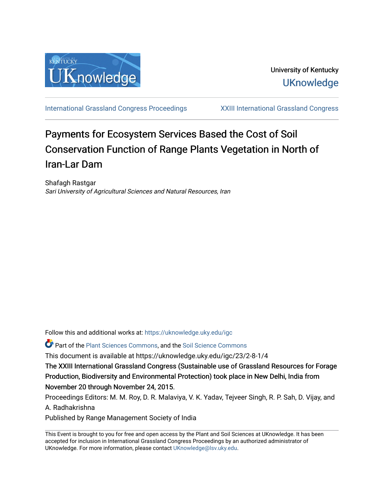

[International Grassland Congress Proceedings](https://uknowledge.uky.edu/igc) [XXIII International Grassland Congress](https://uknowledge.uky.edu/igc/23) 

# Payments for Ecosystem Services Based the Cost of Soil Conservation Function of Range Plants V egetation in North of Iran-Lar Dam

Shafagh Rastgar Sari University of Agricultural Sciences and Natural Resources, Iran

Follow this and additional works at: [https://uknowledge.uky.edu/igc](https://uknowledge.uky.edu/igc?utm_source=uknowledge.uky.edu%2Figc%2F23%2F2-8-1%2F4&utm_medium=PDF&utm_campaign=PDFCoverPages) 

Part of the [Plant Sciences Commons](http://network.bepress.com/hgg/discipline/102?utm_source=uknowledge.uky.edu%2Figc%2F23%2F2-8-1%2F4&utm_medium=PDF&utm_campaign=PDFCoverPages), and the [Soil Science Commons](http://network.bepress.com/hgg/discipline/163?utm_source=uknowledge.uky.edu%2Figc%2F23%2F2-8-1%2F4&utm_medium=PDF&utm_campaign=PDFCoverPages) 

This document is available at https://uknowledge.uky.edu/igc/23/2-8-1/4

The XXIII International Grassland Congress (Sustainable use of Grassland Resources for Forage Production, Biodiversity and Environmental Protection) took place in New Delhi, India from November 20 through November 24, 2015.

Proceedings Editors: M. M. Roy, D. R. Malaviya, V. K. Yadav, Tejveer Singh, R. P. Sah, D. Vijay, and A. Radhakrishna

Published by Range Management Society of India

This Event is brought to you for free and open access by the Plant and Soil Sciences at UKnowledge. It has been accepted for inclusion in International Grassland Congress Proceedings by an authorized administrator of UKnowledge. For more information, please contact [UKnowledge@lsv.uky.edu](mailto:UKnowledge@lsv.uky.edu).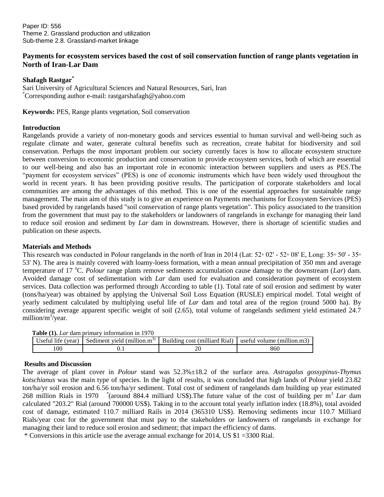### **Payments for ecosystem services based the cost of soil conservation function of range plants vegetation in North of Iran-Lar Dam**

#### **Shafagh Rastgar\***

Sari University of Agricultural Sciences and Natural Resources, Sari, Iran \*Corresponding author e-mail: rastgarshafagh@yahoo.com

**Keywords:** PES, Range plants vegetation, Soil conservation

#### **Introduction**

Rangelands provide a variety of non-monetary goods and services essential to human survival and well-being such as regulate climate and water, generate cultural benefits such as recreation, create habitat for biodiversity and soil conservation. Perhaps the most important problem our society currently faces is how to allocate ecosystem structure between conversion to economic production and conservation to provide ecosystem services, both of which are essential to our well-being and also has an important role in economic interaction between suppliers and users as PES.The "payment for ecosystem services" (PES) is one of economic instruments which have been widely used throughout the world in recent years. It has been providing positive results. The participation of corporate stakeholders and local communities are among the advantages of this method. This is one of the essential approaches for sustainable range management. The main aim of this study is to give an experience on Payments mechanisms for Ecosystem Services (PES) based provided by rangelands based "soil conservation of range plants vegetation". This policy associated to the transition from the government that must pay to the stakeholders or landowners of rangelands in exchange for managing their land to reduce soil erosion and sediment by *Lar* dam in downstream. However, there is shortage of scientific studies and publication on these aspects.

#### **Materials and Methods**

This research was conducted in Polour rangelands in the north of Iran in 2014 (Lat: 52◦ 02' - 52◦ 08' E, Long: 35◦ 50' - 35◦ 53' N). The area is mainly covered with loamy-loess formation, with a mean annual precipitation of 350 mm and average temperature of 17 °C. *Polour* range plants remove sediments accumulation cause damage to the downstream (*Lar*) dam. Avoided damage cost of sedimentation with *Lar* dam used for evaluation and consideration payment of ecosystem services. Data collection was performed through According to table (1). Total rate of soil erosion and sediment by water (tons/ha/year) was obtained by applying the Universal Soil Loss Equation (RUSLE) empirical model. Total weight of yearly sediment calculated by multiplying useful life of *Lar* dam and total area of the region (round 5000 ha). By considering average apparent specific weight of soil (2.65), total volume of rangelands sediment yield estimated 24.7 million/m<sup>3</sup>/year.

|  | <b>Table (1).</b> Lar dam primary information in 1970 |  |  |
|--|-------------------------------------------------------|--|--|
|  |                                                       |  |  |

| Useful life (vear) | Sediment vield (million. $m^{3}$ ) | Building cost (milliard Rial) | useful volume (million.m3) |
|--------------------|------------------------------------|-------------------------------|----------------------------|
| 00                 |                                    |                               | 860                        |

#### **Results and Discussion**

The average of plant cover in *Polour* stand was 52.3%±18.2 of the surface area. *Astragalus gossypinus-Thymus kotschianus* was the main type of species. In the light of results, it was concluded that high lands of Polour yield 23.82 ton/ha/yr soil erosion and 6.56 ton/ha/yr sediment. Total cost of sediment of rangelands dam building up year estimated 268 million Rials in 1970 <sup>\*</sup> (around 884.4 milliard US\$). The future value of the cost of building per m<sup>3</sup> Lar dam calculated "203.2" Rial (around 700000 US\$). Taking in to the account total yearly inflation index (18.8%), total avoided cost of damage, estimated 110.7 milliard Rails in 2014 (365310 US\$). Removing sediments incur 110.7 Milliard Rials/year cost for the government that must pay to the stakeholders or landowners of rangelands in exchange for managing their land to reduce soil erosion and sediment; that impact the efficiency of dams.

\* Conversions in this article use the average annual exchange for 2014, US \$1 =3300 Rial.